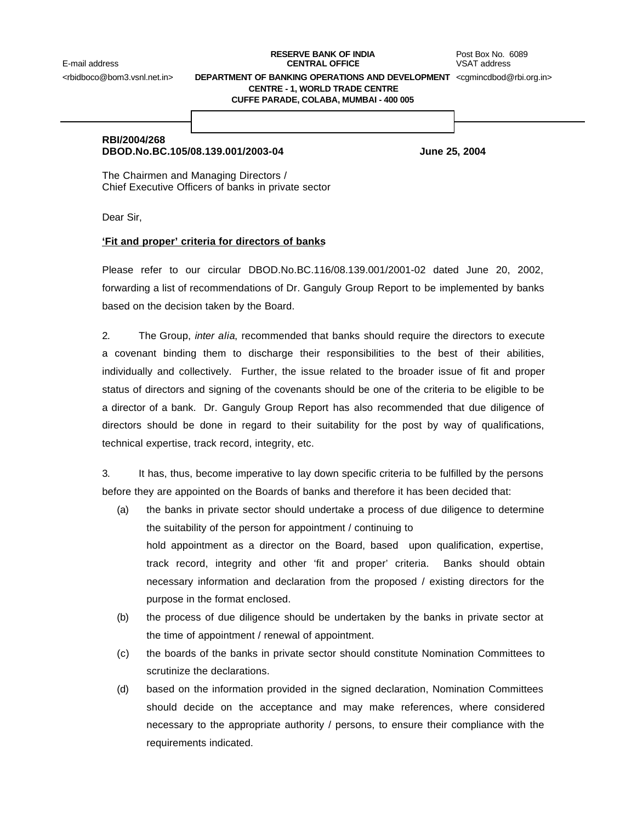## **RESERVE BANK OF INDIA** Post Box No. 6089 E-mail address **CENTRAL OFFICE** VSAT address

<rbidboco@bom3.vsnl.net.in> **DEPARTMENT OF BANKING OPERATIONS AND DEVELOPMENT** <cgmincdbod@rbi.org.in>

**CENTRE - 1, WORLD TRADE CENTRE**

**CUFFE PARADE, COLABA, MUMBAI - 400 005**

# **RBI/2004/268**

# **DBOD.No.BC.105/08.139.001/2003-04 June 25, 2004**

The Chairmen and Managing Directors / Chief Executive Officers of banks in private sector

Dear Sir,

## **'Fit and proper' criteria for directors of banks**

Please refer to our circular DBOD.No.BC.116/08.139.001/2001-02 dated June 20, 2002, forwarding a list of recommendations of Dr. Ganguly Group Report to be implemented by banks based on the decision taken by the Board.

2. The Group, *inter alia*, recommended that banks should require the directors to execute a covenant binding them to discharge their responsibilities to the best of their abilities, individually and collectively. Further, the issue related to the broader issue of fit and proper status of directors and signing of the covenants should be one of the criteria to be eligible to be a director of a bank. Dr. Ganguly Group Report has also recommended that due diligence of directors should be done in regard to their suitability for the post by way of qualifications, technical expertise, track record, integrity, etc.

3. It has, thus, become imperative to lay down specific criteria to be fulfilled by the persons before they are appointed on the Boards of banks and therefore it has been decided that:

- (a) the banks in private sector should undertake a process of due diligence to determine the suitability of the person for appointment / continuing to hold appointment as a director on the Board, based upon qualification, expertise, track record, integrity and other 'fit and proper' criteria. Banks should obtain necessary information and declaration from the proposed / existing directors for the purpose in the format enclosed.
- (b) the process of due diligence should be undertaken by the banks in private sector at the time of appointment / renewal of appointment.
- (c) the boards of the banks in private sector should constitute Nomination Committees to scrutinize the declarations.
- (d) based on the information provided in the signed declaration, Nomination Committees should decide on the acceptance and may make references, where considered necessary to the appropriate authority / persons, to ensure their compliance with the requirements indicated.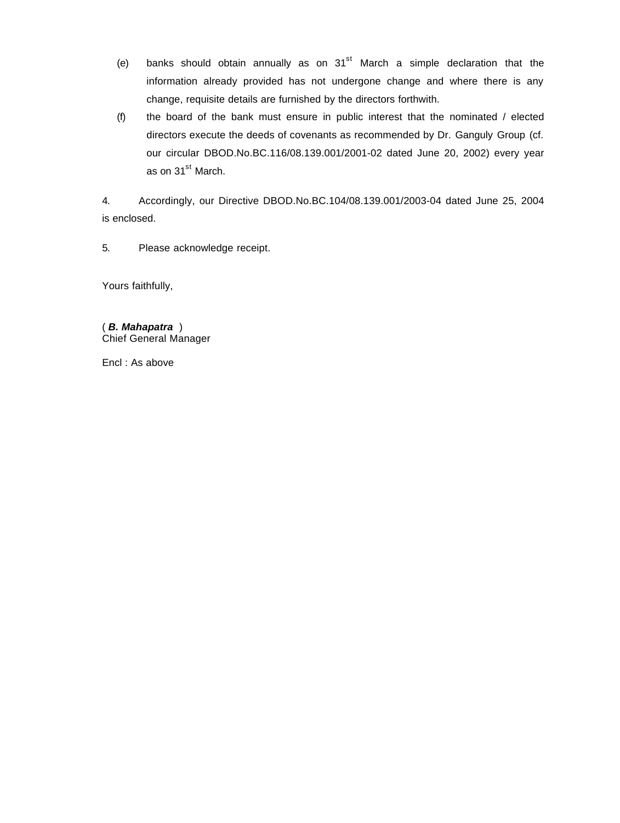- (e) banks should obtain annually as on  $31<sup>st</sup>$  March a simple declaration that the information already provided has not undergone change and where there is any change, requisite details are furnished by the directors forthwith.
- (f) the board of the bank must ensure in public interest that the nominated / elected directors execute the deeds of covenants as recommended by Dr. Ganguly Group (cf. our circular DBOD.No.BC.116/08.139.001/2001-02 dated June 20, 2002) every year as on 31<sup>st</sup> March.

4. Accordingly, our Directive DBOD.No.BC.104/08.139.001/2003-04 dated June 25, 2004 is enclosed.

5. Please acknowledge receipt.

Yours faithfully,

( *B. Mahapatra* ) Chief General Manager

Encl : As above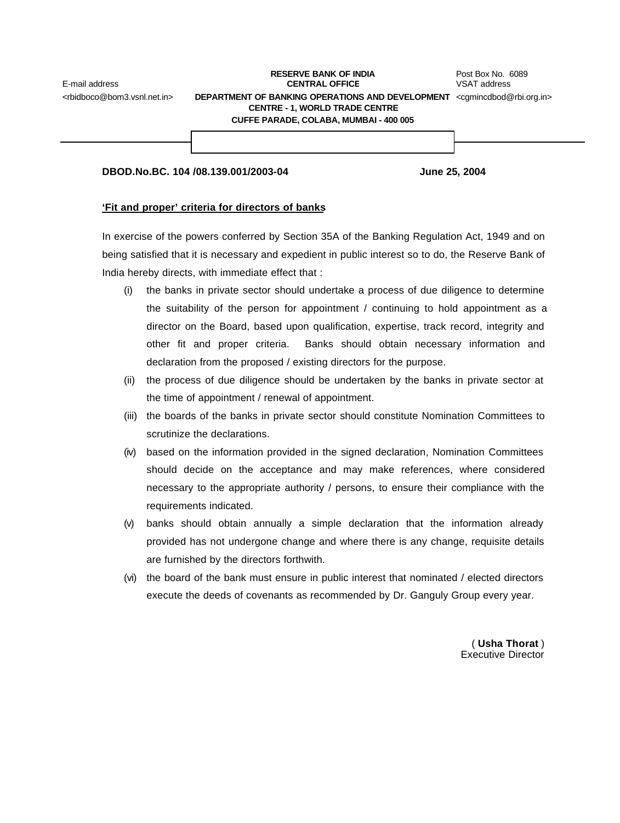#### **RESERVE BANK OF INDIA** Post Box No. 6089 E-mail address **CENTRAL OFFICE** VSAT address <rbidboco@bom3.vsnl.net.in> **DEPARTMENT OF BANKING OPERATIONS AND DEVELOPMENT** <cgmincdbod@rbi.org.in> **CENTRE - 1, WORLD TRADE CENTRE CUFFE PARADE, COLABA, MUMBAI - 400 005**

| DBOD.No.BC, 104 /08.139.001/2003-04 | <b>June 25, 2004</b> |
|-------------------------------------|----------------------|

#### **'Fit and proper' criteria for directors of banks**

In exercise of the powers conferred by Section 35A of the Banking Regulation Act, 1949 and on being satisfied that it is necessary and expedient in public interest so to do, the Reserve Bank of India hereby directs, with immediate effect that :

- (i) the banks in private sector should undertake a process of due diligence to determine the suitability of the person for appointment / continuing to hold appointment as a director on the Board, based upon qualification, expertise, track record, integrity and other fit and proper criteria. Banks should obtain necessary information and declaration from the proposed / existing directors for the purpose.
- (ii) the process of due diligence should be undertaken by the banks in private sector at the time of appointment / renewal of appointment.
- (iii) the boards of the banks in private sector should constitute Nomination Committees to scrutinize the declarations.
- (iv) based on the information provided in the signed declaration, Nomination Committees should decide on the acceptance and may make references, where considered necessary to the appropriate authority / persons, to ensure their compliance with the requirements indicated.
- (v) banks should obtain annually a simple declaration that the information already provided has not undergone change and where there is any change, requisite details are furnished by the directors forthwith.
- (vi) the board of the bank must ensure in public interest that nominated / elected directors execute the deeds of covenants as recommended by Dr. Ganguly Group every year.

( **Usha Thorat** ) Executive Director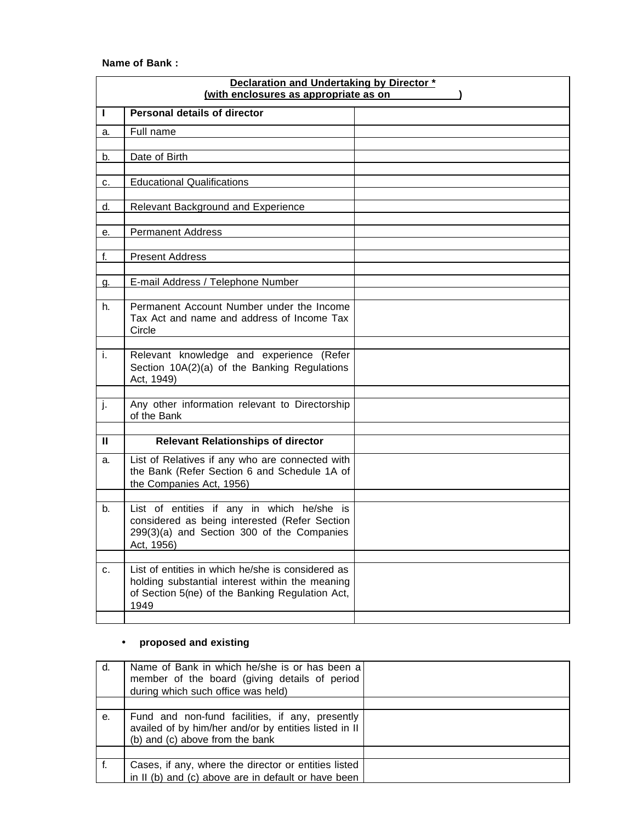## **Name of Bank :**

| Declaration and Undertaking by Director *<br>(with enclosures as appropriate as on |                                                                                                                                                                 |  |  |
|------------------------------------------------------------------------------------|-----------------------------------------------------------------------------------------------------------------------------------------------------------------|--|--|
| T                                                                                  | Personal details of director                                                                                                                                    |  |  |
| a.                                                                                 | Full name                                                                                                                                                       |  |  |
| b.                                                                                 | Date of Birth                                                                                                                                                   |  |  |
| c.                                                                                 | <b>Educational Qualifications</b>                                                                                                                               |  |  |
| d.                                                                                 | <b>Relevant Background and Experience</b>                                                                                                                       |  |  |
| е.                                                                                 | <b>Permanent Address</b>                                                                                                                                        |  |  |
| f.                                                                                 | <b>Present Address</b>                                                                                                                                          |  |  |
| <u>g.</u>                                                                          | E-mail Address / Telephone Number                                                                                                                               |  |  |
| h.                                                                                 | Permanent Account Number under the Income<br>Tax Act and name and address of Income Tax<br>Circle                                                               |  |  |
| i.                                                                                 | Relevant knowledge and experience (Refer<br>Section 10A(2)(a) of the Banking Regulations<br>Act, 1949)                                                          |  |  |
| j.                                                                                 | Any other information relevant to Directorship<br>of the Bank                                                                                                   |  |  |
| $\mathbf{H}$                                                                       | <b>Relevant Relationships of director</b>                                                                                                                       |  |  |
| a.                                                                                 | List of Relatives if any who are connected with<br>the Bank (Refer Section 6 and Schedule 1A of<br>the Companies Act, 1956)                                     |  |  |
| b.                                                                                 | List of entities if any in which he/she is<br>considered as being interested (Refer Section<br>299(3)(a) and Section 300 of the Companies<br>Act, 1956)         |  |  |
| c.                                                                                 | List of entities in which he/she is considered as<br>holding substantial interest within the meaning<br>of Section 5(ne) of the Banking Regulation Act,<br>1949 |  |  |

# • **proposed and existing**

| d. | Name of Bank in which he/she is or has been a<br>member of the board (giving details of period<br>during which such office was held)        |  |
|----|---------------------------------------------------------------------------------------------------------------------------------------------|--|
|    |                                                                                                                                             |  |
| е. | Fund and non-fund facilities, if any, presently<br>availed of by him/her and/or by entities listed in II<br>(b) and (c) above from the bank |  |
|    |                                                                                                                                             |  |
|    | Cases, if any, where the director or entities listed<br>in II (b) and (c) above are in default or have been                                 |  |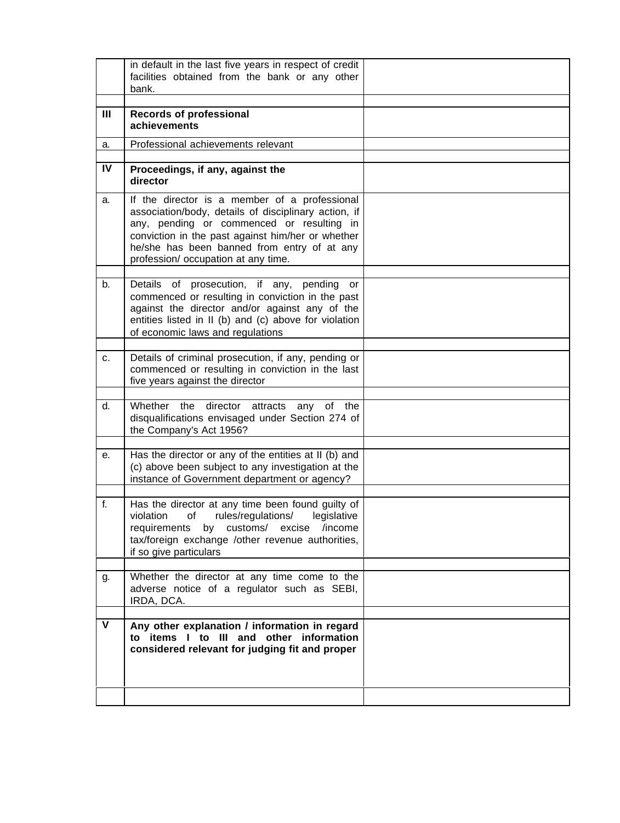|             | in default in the last five years in respect of credit<br>facilities obtained from the bank or any other<br>bank.                                                                                                                                                                             |  |
|-------------|-----------------------------------------------------------------------------------------------------------------------------------------------------------------------------------------------------------------------------------------------------------------------------------------------|--|
| Ш           | <b>Records of professional</b><br>achievements                                                                                                                                                                                                                                                |  |
| a.          | Professional achievements relevant                                                                                                                                                                                                                                                            |  |
| IV          | Proceedings, if any, against the<br>director                                                                                                                                                                                                                                                  |  |
| a.          | If the director is a member of a professional<br>association/body, details of disciplinary action, if<br>any, pending or commenced or resulting in<br>conviction in the past against him/her or whether<br>he/she has been banned from entry of at any<br>profession/ occupation at any time. |  |
| b.          | Details of prosecution, if any,<br>pending<br>or<br>commenced or resulting in conviction in the past<br>against the director and/or against any of the<br>entities listed in II (b) and (c) above for violation<br>of economic laws and regulations                                           |  |
| c.          | Details of criminal prosecution, if any, pending or<br>commenced or resulting in conviction in the last<br>five years against the director                                                                                                                                                    |  |
| d.          | Whether<br>the<br>director<br>attracts<br>any<br>of the<br>disqualifications envisaged under Section 274 of<br>the Company's Act 1956?                                                                                                                                                        |  |
| е.          | Has the director or any of the entities at II (b) and<br>(c) above been subject to any investigation at the<br>instance of Government department or agency?                                                                                                                                   |  |
| f.          | Has the director at any time been found guilty of<br>violation<br>rules/regulations/<br>of<br>legislative<br>by customs/ excise /income<br>requirements<br>tax/foreign exchange /other revenue authorities,<br>if so give particulars                                                         |  |
| g.          | Whether the director at any time come to the<br>adverse notice of a regulator such as SEBI,<br>IRDA, DCA.                                                                                                                                                                                     |  |
| $\mathbf v$ | Any other explanation / information in regard<br>to items I to III and other information<br>considered relevant for judging fit and proper                                                                                                                                                    |  |
|             |                                                                                                                                                                                                                                                                                               |  |